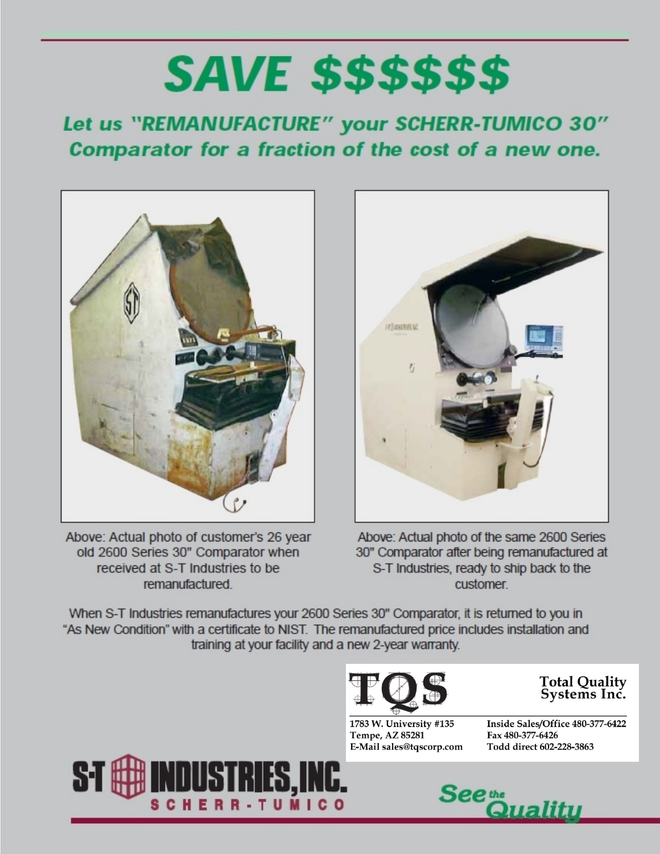# **SAVE \$\$\$\$\$\$**

## Let us "REMANUFACTURE" your SCHERR-TUMICO 30" Comparator for a fraction of the cost of a new one.



Above: Actual photo of customer's 26 year old 2600 Series 30" Comparator when received at S-T Industries to be remanufactured.



Above: Actual photo of the same 2600 Series 30" Comparator after being remanufactured at S-T Industries, ready to ship back to the customer

When S-T Industries remanufactures your 2600 Series 30" Comparator, it is returned to you in "As New Condition" with a certificate to NIST. The remanufactured price includes installation and training at your facility and a new 2-year warranty.



**Total Quality** Systems Inc.

1783 W. University #135 Tempe, AZ 85281 E-Mail sales@tqscorp.com

Inside Sales/Office 480-377-6422 Fax 480-377-6426 Todd direct 602-228-3863